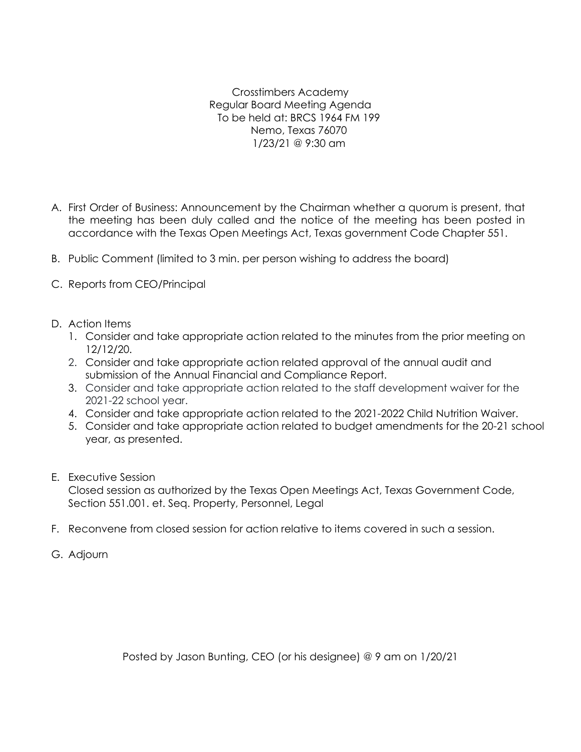Crosstimbers Academy Regular Board Meeting Agenda To be held at: BRCS 1964 FM 199 Nemo, Texas 76070 1/23/21 @ 9:30 am

- A. First Order of Business: Announcement by the Chairman whether a quorum is present, that the meeting has been duly called and the notice of the meeting has been posted in accordance with the Texas Open Meetings Act, Texas government Code Chapter 551.
- B. Public Comment (limited to 3 min. per person wishing to address the board)
- C. Reports from CEO/Principal
- D. Action Items
	- 1. Consider and take appropriate action related to the minutes from the prior meeting on 12/12/20.
	- 2. Consider and take appropriate action related approval of the annual audit and submission of the Annual Financial and Compliance Report.
	- 3. Consider and take appropriate action related to the staff development waiver for the 2021-22 school year.
	- 4. Consider and take appropriate action related to the 2021-2022 Child Nutrition Waiver.
	- 5. Consider and take appropriate action related to budget amendments for the 20-21 school year, as presented.
- E. Executive Session

Closed session as authorized by the Texas Open Meetings Act, Texas Government Code, Section 551.001. et. Seq. Property, Personnel, Legal

- F. Reconvene from closed session for action relative to items covered in such a session.
- G. Adjourn